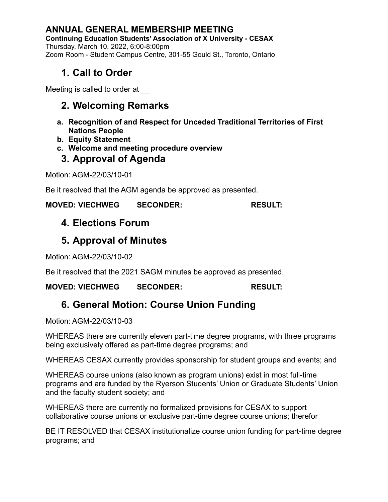### **ANNUAL GENERAL MEMBERSHIP MEETING**

**Continuing Education Students' Association of X University - CESAX** Thursday, March 10, 2022, 6:00-8:00pm Zoom Room - Student Campus Centre, 301-55 Gould St., Toronto, Ontario

# **1. Call to Order**

Meeting is called to order at

# **2. Welcoming Remarks**

- **a. Recognition of and Respect for Unceded Traditional Territories of First Nations People**
- **b. Equity Statement**
- **c. Welcome and meeting procedure overview**

### **3. Approval of Agenda**

Motion: AGM-22/03/10-01

Be it resolved that the AGM agenda be approved as presented.

#### **MOVED: VIECHWEG SECONDER: RESULT:**

# **4. Elections Forum**

## **5. Approval of Minutes**

Motion: AGM-22/03/10-02

Be it resolved that the 2021 SAGM minutes be approved as presented.

#### **MOVED: VIECHWEG SECONDER: RESULT:**

## **6. General Motion: Course Union Funding**

Motion: AGM-22/03/10-03

WHEREAS there are currently eleven part-time degree programs, with three programs being exclusively offered as part-time degree programs; and

WHEREAS CESAX currently provides sponsorship for student groups and events; and

WHEREAS course unions (also known as program unions) exist in most full-time programs and are funded by the Ryerson Students' Union or Graduate Students' Union and the faculty student society; and

WHEREAS there are currently no formalized provisions for CESAX to support collaborative course unions or exclusive part-time degree course unions; therefor

BE IT RESOLVED that CESAX institutionalize course union funding for part-time degree programs; and